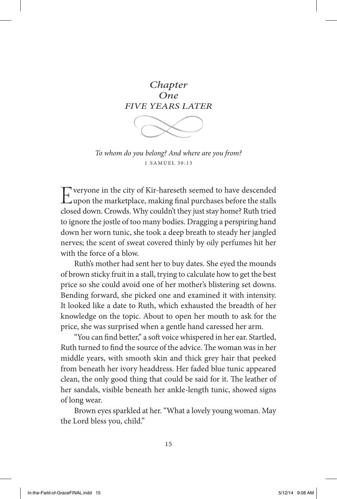



*To whom do you belong? And where are you from?*  1 SAMUEL 30:13

Everyone in the city of Kir-hareseth seemed to have descended upon the marketplace, making final purchases before the stalls closed down. Crowds. Why couldn't they just stay home? Ruth tried to ignore the jostle of too many bodies. Dragging a perspiring hand down her worn tunic, she took a deep breath to steady her jangled nerves; the scent of sweat covered thinly by oily perfumes hit her with the force of a blow.

Ruth's mother had sent her to buy dates. She eyed the mounds of brown sticky fruit in a stall, trying to calculate how to get the best price so she could avoid one of her mother's blistering set downs. Bending forward, she picked one and examined it with intensity. It looked like a date to Ruth, which exhausted the breadth of her knowledge on the topic. About to open her mouth to ask for the price, she was surprised when a gentle hand caressed her arm.

"You can find better," a soft voice whispered in her ear. Startled, Ruth turned to find the source of the advice. The woman was in her middle years, with smooth skin and thick grey hair that peeked from beneath her ivory headdress. Her faded blue tunic appeared clean, the only good thing that could be said for it. The leather of her sandals, visible beneath her ankle-length tunic, showed signs of long wear.

Brown eyes sparkled at her. "What a lovely young woman. May the Lord bless you, child."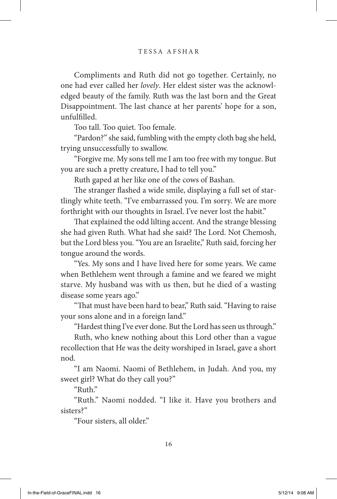Compliments and Ruth did not go together. Certainly, no one had ever called her *lovely*. Her eldest sister was the acknowledged beauty of the family. Ruth was the last born and the Great Disappointment. The last chance at her parents' hope for a son, unfulfilled.

Too tall. Too quiet. Too female.

"Pardon?" she said, fumbling with the empty cloth bag she held, trying unsuccessfully to swallow.

"Forgive me. My sons tell me I am too free with my tongue. But you are such a pretty creature, I had to tell you."

Ruth gaped at her like one of the cows of Bashan.

The stranger flashed a wide smile, displaying a full set of startlingly white teeth. "I've embarrassed you. I'm sorry. We are more forthright with our thoughts in Israel. I've never lost the habit."

That explained the odd lilting accent. And the strange blessing she had given Ruth. What had she said? The Lord. Not Chemosh, but the Lord bless you. "You are an Israelite," Ruth said, forcing her tongue around the words.

"Yes. My sons and I have lived here for some years. We came when Bethlehem went through a famine and we feared we might starve. My husband was with us then, but he died of a wasting disease some years ago."

"That must have been hard to bear," Ruth said. "Having to raise your sons alone and in a foreign land."

"Hardest thing I've ever done. But the Lord has seen us through."

Ruth, who knew nothing about this Lord other than a vague recollection that He was the deity worshiped in Israel, gave a short nod.

"I am Naomi. Naomi of Bethlehem, in Judah. And you, my sweet girl? What do they call you?"

"Ruth."

"Ruth." Naomi nodded. "I like it. Have you brothers and sisters?"

"Four sisters, all older."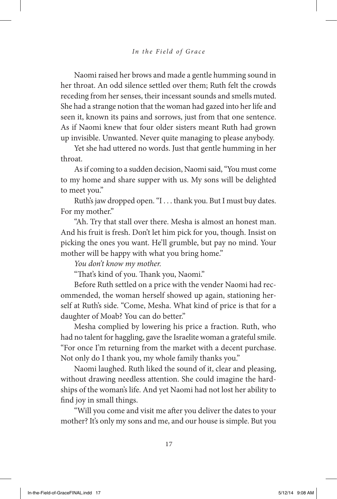Naomi raised her brows and made a gentle humming sound in her throat. An odd silence settled over them; Ruth felt the crowds receding from her senses, their incessant sounds and smells muted. She had a strange notion that the woman had gazed into her life and seen it, known its pains and sorrows, just from that one sentence. As if Naomi knew that four older sisters meant Ruth had grown up invisible. Unwanted. Never quite managing to please anybody.

Yet she had uttered no words. Just that gentle humming in her throat.

As if coming to a sudden decision, Naomi said, "You must come to my home and share supper with us. My sons will be delighted to meet you."

Ruth's jaw dropped open. "I . . . thank you. But I must buy dates. For my mother."

"Ah. Try that stall over there. Mesha is almost an honest man. And his fruit is fresh. Don't let him pick for you, though. Insist on picking the ones you want. He'll grumble, but pay no mind. Your mother will be happy with what you bring home."

*You don't know my mother.* 

"That's kind of you. Thank you, Naomi."

Before Ruth settled on a price with the vender Naomi had recommended, the woman herself showed up again, stationing herself at Ruth's side. "Come, Mesha. What kind of price is that for a daughter of Moab? You can do better."

Mesha complied by lowering his price a fraction. Ruth, who had no talent for haggling, gave the Israelite woman a grateful smile. "For once I'm returning from the market with a decent purchase. Not only do I thank you, my whole family thanks you."

Naomi laughed. Ruth liked the sound of it, clear and pleasing, without drawing needless attention. She could imagine the hardships of the woman's life. And yet Naomi had not lost her ability to find joy in small things.

"Will you come and visit me after you deliver the dates to your mother? It's only my sons and me, and our house is simple. But you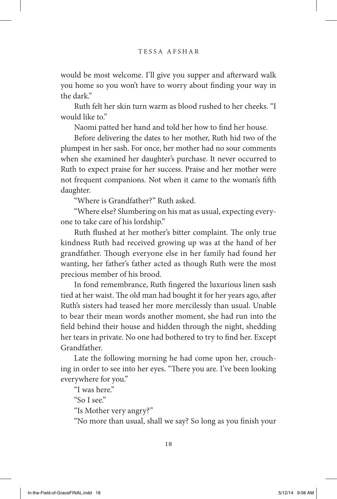would be most welcome. I'll give you supper and afterward walk you home so you won't have to worry about finding your way in the dark."

Ruth felt her skin turn warm as blood rushed to her cheeks. "I would like to."

Naomi patted her hand and told her how to find her house.

Before delivering the dates to her mother, Ruth hid two of the plumpest in her sash. For once, her mother had no sour comments when she examined her daughter's purchase. It never occurred to Ruth to expect praise for her success. Praise and her mother were not frequent companions. Not when it came to the woman's fifth daughter.

"Where is Grandfather?" Ruth asked.

"Where else? Slumbering on his mat as usual, expecting everyone to take care of his lordship."

Ruth flushed at her mother's bitter complaint. The only true kindness Ruth had received growing up was at the hand of her grandfather. Though everyone else in her family had found her wanting, her father's father acted as though Ruth were the most precious member of his brood.

In fond remembrance, Ruth fingered the luxurious linen sash tied at her waist. The old man had bought it for her years ago, after Ruth's sisters had teased her more mercilessly than usual. Unable to bear their mean words another moment, she had run into the field behind their house and hidden through the night, shedding her tears in private. No one had bothered to try to find her. Except Grandfather.

Late the following morning he had come upon her, crouching in order to see into her eyes. "There you are. I've been looking everywhere for you."

"I was here."

"So I see."

"Is Mother very angry?"

"No more than usual, shall we say? So long as you finish your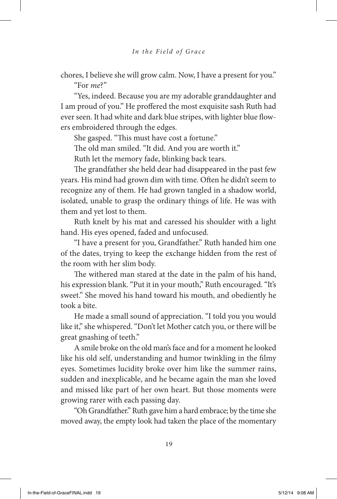chores, I believe she will grow calm. Now, I have a present for you." "For *me*?"

"Yes, indeed. Because you are my adorable granddaughter and I am proud of you." He proffered the most exquisite sash Ruth had ever seen. It had white and dark blue stripes, with lighter blue flowers embroidered through the edges.

She gasped. "This must have cost a fortune."

The old man smiled. "It did. And you are worth it."

Ruth let the memory fade, blinking back tears.

The grandfather she held dear had disappeared in the past few years. His mind had grown dim with time. Often he didn't seem to recognize any of them. He had grown tangled in a shadow world, isolated, unable to grasp the ordinary things of life. He was with them and yet lost to them.

Ruth knelt by his mat and caressed his shoulder with a light hand. His eyes opened, faded and unfocused.

"I have a present for you, Grandfather." Ruth handed him one of the dates, trying to keep the exchange hidden from the rest of the room with her slim body.

The withered man stared at the date in the palm of his hand, his expression blank. "Put it in your mouth," Ruth encouraged. "It's sweet." She moved his hand toward his mouth, and obediently he took a bite.

He made a small sound of appreciation. "I told you you would like it," she whispered. "Don't let Mother catch you, or there will be great gnashing of teeth."

A smile broke on the old man's face and for a moment he looked like his old self, understanding and humor twinkling in the filmy eyes. Sometimes lucidity broke over him like the summer rains, sudden and inexplicable, and he became again the man she loved and missed like part of her own heart. But those moments were growing rarer with each passing day.

"Oh Grandfather." Ruth gave him a hard embrace; by the time she moved away, the empty look had taken the place of the momentary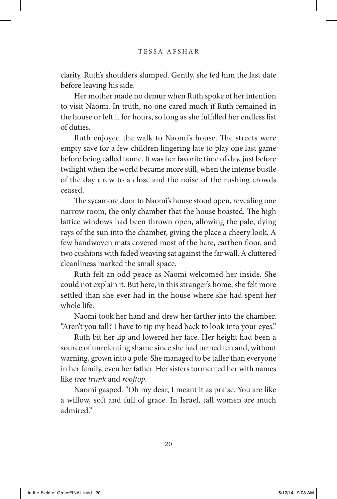clarity. Ruth's shoulders slumped. Gently, she fed him the last date before leaving his side.

Her mother made no demur when Ruth spoke of her intention to visit Naomi. In truth, no one cared much if Ruth remained in the house or left it for hours, so long as she fulfilled her endless list of duties.

Ruth enjoyed the walk to Naomi's house. The streets were empty save for a few children lingering late to play one last game before being called home. It was her favorite time of day, just before twilight when the world became more still, when the intense bustle of the day drew to a close and the noise of the rushing crowds ceased.

The sycamore door to Naomi's house stood open, revealing one narrow room, the only chamber that the house boasted. The high lattice windows had been thrown open, allowing the pale, dying rays of the sun into the chamber, giving the place a cheery look. A few handwoven mats covered most of the bare, earthen floor, and two cushions with faded weaving sat against the far wall. A cluttered cleanliness marked the small space.

Ruth felt an odd peace as Naomi welcomed her inside. She could not explain it. But here, in this stranger's home, she felt more settled than she ever had in the house where she had spent her whole life.

Naomi took her hand and drew her farther into the chamber. "Aren't you tall? I have to tip my head back to look into your eyes."

Ruth bit her lip and lowered her face. Her height had been a source of unrelenting shame since she had turned ten and, without warning, grown into a pole. She managed to be taller than everyone in her family, even her father. Her sisters tormented her with names like *tree trunk* and *rooftop*.

Naomi gasped. "Oh my dear, I meant it as praise. You are like a willow, soft and full of grace. In Israel, tall women are much admired"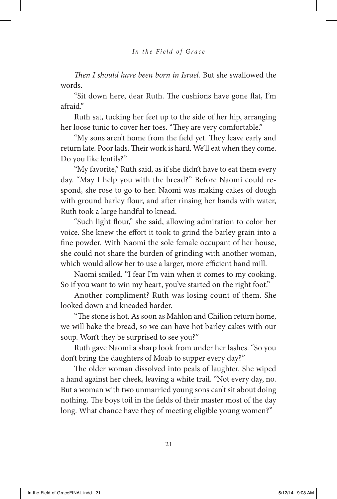*Then I should have been born in Israel.* But she swallowed the words.

"Sit down here, dear Ruth. The cushions have gone flat, I'm afraid"

Ruth sat, tucking her feet up to the side of her hip, arranging her loose tunic to cover her toes. "They are very comfortable."

"My sons aren't home from the field yet. They leave early and return late. Poor lads. Their work is hard. We'll eat when they come. Do you like lentils?"

"My favorite," Ruth said, as if she didn't have to eat them every day. "May I help you with the bread?" Before Naomi could respond, she rose to go to her. Naomi was making cakes of dough with ground barley flour, and after rinsing her hands with water, Ruth took a large handful to knead.

"Such light flour," she said, allowing admiration to color her voice. She knew the effort it took to grind the barley grain into a fine powder. With Naomi the sole female occupant of her house, she could not share the burden of grinding with another woman, which would allow her to use a larger, more efficient hand mill.

Naomi smiled. "I fear I'm vain when it comes to my cooking. So if you want to win my heart, you've started on the right foot."

Another compliment? Ruth was losing count of them. She looked down and kneaded harder.

"The stone is hot. As soon as Mahlon and Chilion return home, we will bake the bread, so we can have hot barley cakes with our soup. Won't they be surprised to see you?"

Ruth gave Naomi a sharp look from under her lashes. "So you don't bring the daughters of Moab to supper every day?"

The older woman dissolved into peals of laughter. She wiped a hand against her cheek, leaving a white trail. "Not every day, no. But a woman with two unmarried young sons can't sit about doing nothing. The boys toil in the fields of their master most of the day long. What chance have they of meeting eligible young women?"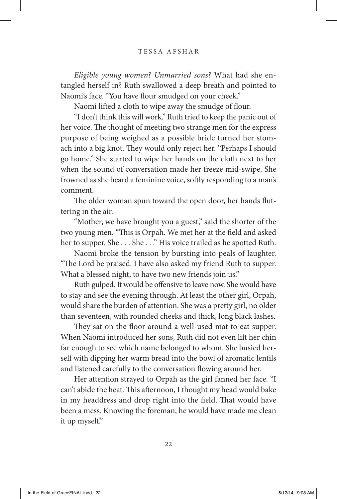*Eligible young women? Unmarried sons?* What had she entangled herself in? Ruth swallowed a deep breath and pointed to Naomi's face. "You have flour smudged on your cheek."

Naomi lifted a cloth to wipe away the smudge of flour.

"I don't think this will work." Ruth tried to keep the panic out of her voice. The thought of meeting two strange men for the express purpose of being weighed as a possible bride turned her stomach into a big knot. They would only reject her. "Perhaps I should go home." She started to wipe her hands on the cloth next to her when the sound of conversation made her freeze mid-swipe. She frowned as she heard a feminine voice, softly responding to a man's comment.

The older woman spun toward the open door, her hands fluttering in the air.

"Mother, we have brought you a guest," said the shorter of the two young men. "This is Orpah. We met her at the field and asked her to supper. She . . . She . . . " His voice trailed as he spotted Ruth.

Naomi broke the tension by bursting into peals of laughter. "The Lord be praised. I have also asked my friend Ruth to supper. What a blessed night, to have two new friends join us."

Ruth gulped. It would be offensive to leave now. She would have to stay and see the evening through. At least the other girl, Orpah, would share the burden of attention. She was a pretty girl, no older than seventeen, with rounded cheeks and thick, long black lashes.

They sat on the floor around a well-used mat to eat supper. When Naomi introduced her sons, Ruth did not even lift her chin far enough to see which name belonged to whom. She busied herself with dipping her warm bread into the bowl of aromatic lentils and listened carefully to the conversation flowing around her.

Her attention strayed to Orpah as the girl fanned her face. "I can't abide the heat. This afternoon, I thought my head would bake in my headdress and drop right into the field. That would have been a mess. Knowing the foreman, he would have made me clean it up myself."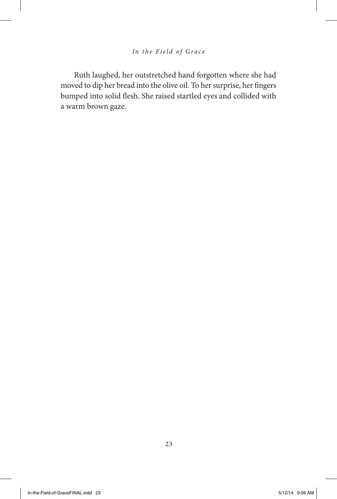Ruth laughed, her outstretched hand forgotten where she had moved to dip her bread into the olive oil. To her surprise, her fingers bumped into solid flesh. She raised startled eyes and collided with a warm brown gaze.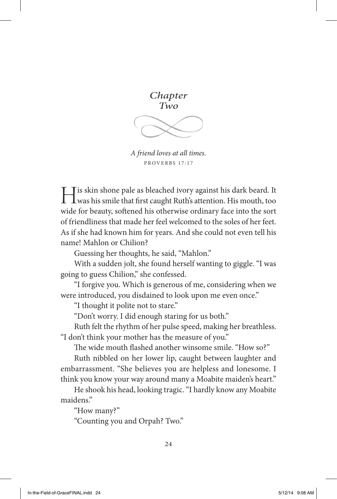

*A friend loves at all times.* PROVERBS 17:17

His skin shone pale as bleached ivory against his dark beard. It was his smile that first caught Ruth's attention. His mouth, too wide for beauty, softened his otherwise ordinary face into the sort of friendliness that made her feel welcomed to the soles of her feet. As if she had known him for years. And she could not even tell his name! Mahlon or Chilion?

Guessing her thoughts, he said, "Mahlon."

With a sudden jolt, she found herself wanting to giggle. "I was going to guess Chilion," she confessed.

"I forgive you. Which is generous of me, considering when we were introduced, you disdained to look upon me even once."

"I thought it polite not to stare."

"Don't worry. I did enough staring for us both."

Ruth felt the rhythm of her pulse speed, making her breathless. "I don't think your mother has the measure of you."

The wide mouth flashed another winsome smile. "How so?"

Ruth nibbled on her lower lip, caught between laughter and embarrassment. "She believes you are helpless and lonesome. I think you know your way around many a Moabite maiden's heart."

He shook his head, looking tragic. "I hardly know any Moabite maidens."

"How many?"

"Counting you and Orpah? Two."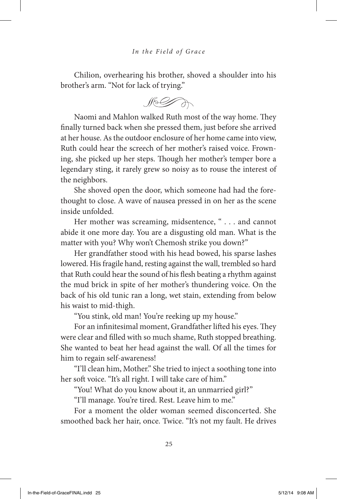Chilion, overhearing his brother, shoved a shoulder into his brother's arm. "Not for lack of trying."



Naomi and Mahlon walked Ruth most of the way home. They finally turned back when she pressed them, just before she arrived at her house. As the outdoor enclosure of her home came into view, Ruth could hear the screech of her mother's raised voice. Frowning, she picked up her steps. Though her mother's temper bore a legendary sting, it rarely grew so noisy as to rouse the interest of the neighbors.

She shoved open the door, which someone had had the forethought to close. A wave of nausea pressed in on her as the scene inside unfolded.

Her mother was screaming, midsentence, "... and cannot abide it one more day. You are a disgusting old man. What is the matter with you? Why won't Chemosh strike you down?"

Her grandfather stood with his head bowed, his sparse lashes lowered. His fragile hand, resting against the wall, trembled so hard that Ruth could hear the sound of his flesh beating a rhythm against the mud brick in spite of her mother's thundering voice. On the back of his old tunic ran a long, wet stain, extending from below his waist to mid-thigh.

"You stink, old man! You're reeking up my house."

For an infinitesimal moment, Grandfather lifted his eyes. They were clear and filled with so much shame, Ruth stopped breathing. She wanted to beat her head against the wall. Of all the times for him to regain self-awareness!

"I'll clean him, Mother." She tried to inject a soothing tone into her soft voice. "It's all right. I will take care of him."

"You! What do you know about it, an unmarried girl?"

"I'll manage. You're tired. Rest. Leave him to me."

For a moment the older woman seemed disconcerted. She smoothed back her hair, once. Twice. "It's not my fault. He drives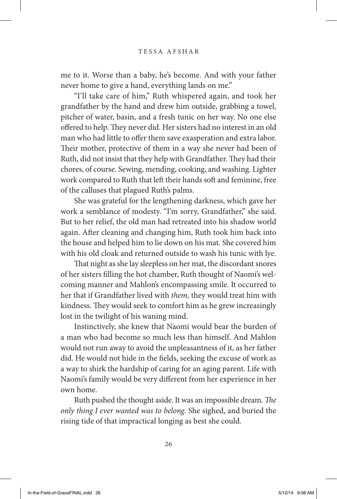me to it. Worse than a baby, he's become. And with your father never home to give a hand, everything lands on me."

"I'll take care of him," Ruth whispered again, and took her grandfather by the hand and drew him outside, grabbing a towel, pitcher of water, basin, and a fresh tunic on her way. No one else offered to help. They never did. Her sisters had no interest in an old man who had little to offer them save exasperation and extra labor. Their mother, protective of them in a way she never had been of Ruth, did not insist that they help with Grandfather. They had their chores, of course. Sewing, mending, cooking, and washing. Lighter work compared to Ruth that left their hands soft and feminine, free of the calluses that plagued Ruth's palms.

She was grateful for the lengthening darkness, which gave her work a semblance of modesty. "I'm sorry, Grandfather," she said. But to her relief, the old man had retreated into his shadow world again. After cleaning and changing him, Ruth took him back into the house and helped him to lie down on his mat. She covered him with his old cloak and returned outside to wash his tunic with lye.

That night as she lay sleepless on her mat, the discordant snores of her sisters filling the hot chamber, Ruth thought of Naomi's welcoming manner and Mahlon's encompassing smile. It occurred to her that if Grandfather lived with *them,* they would treat him with kindness. They would seek to comfort him as he grew increasingly lost in the twilight of his waning mind.

Instinctively, she knew that Naomi would bear the burden of a man who had become so much less than himself. And Mahlon would not run away to avoid the unpleasantness of it, as her father did. He would not hide in the fields, seeking the excuse of work as a way to shirk the hardship of caring for an aging parent. Life with Naomi's family would be very different from her experience in her own home.

Ruth pushed the thought aside. It was an impossible dream. *The only thing I ever wanted was to belong.* She sighed, and buried the rising tide of that impractical longing as best she could.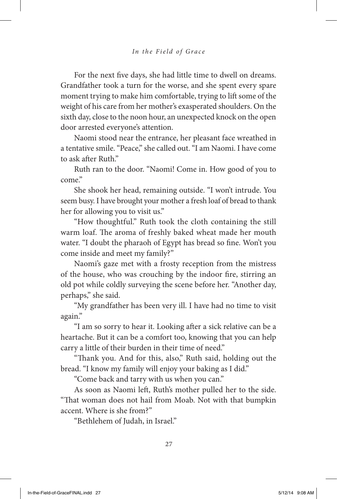For the next five days, she had little time to dwell on dreams. Grandfather took a turn for the worse, and she spent every spare moment trying to make him comfortable, trying to lift some of the weight of his care from her mother's exasperated shoulders. On the sixth day, close to the noon hour, an unexpected knock on the open door arrested everyone's attention.

Naomi stood near the entrance, her pleasant face wreathed in a tentative smile. "Peace," she called out. "I am Naomi. I have come to ask after Ruth."

Ruth ran to the door. "Naomi! Come in. How good of you to come."

She shook her head, remaining outside. "I won't intrude. You seem busy. I have brought your mother a fresh loaf of bread to thank her for allowing you to visit us."

"How thoughtful." Ruth took the cloth containing the still warm loaf. The aroma of freshly baked wheat made her mouth water. "I doubt the pharaoh of Egypt has bread so fine. Won't you come inside and meet my family?"

Naomi's gaze met with a frosty reception from the mistress of the house, who was crouching by the indoor fire, stirring an old pot while coldly surveying the scene before her. "Another day, perhaps," she said.

"My grandfather has been very ill. I have had no time to visit again."

"I am so sorry to hear it. Looking after a sick relative can be a heartache. But it can be a comfort too, knowing that you can help carry a little of their burden in their time of need."

"Thank you. And for this, also," Ruth said, holding out the bread. "I know my family will enjoy your baking as I did."

"Come back and tarry with us when you can."

As soon as Naomi left, Ruth's mother pulled her to the side. "That woman does not hail from Moab. Not with that bumpkin accent. Where is she from?"

"Bethlehem of Judah, in Israel."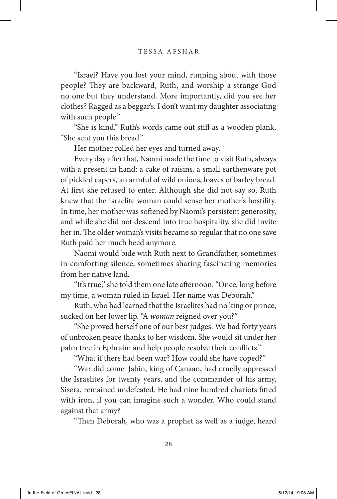"Israel? Have you lost your mind, running about with those people? They are backward, Ruth, and worship a strange God no one but they understand. More importantly, did you see her clothes? Ragged as a beggar's. I don't want my daughter associating with such people."

"She is kind." Ruth's words came out stiff as a wooden plank. "She sent you this bread."

Her mother rolled her eyes and turned away.

Every day after that, Naomi made the time to visit Ruth, always with a present in hand: a cake of raisins, a small earthenware pot of pickled capers, an armful of wild onions, loaves of barley bread. At first she refused to enter. Although she did not say so, Ruth knew that the Israelite woman could sense her mother's hostility. In time, her mother was softened by Naomi's persistent generosity, and while she did not descend into true hospitality, she did invite her in. The older woman's visits became so regular that no one save Ruth paid her much heed anymore.

Naomi would bide with Ruth next to Grandfather, sometimes in comforting silence, sometimes sharing fascinating memories from her native land.

"It's true," she told them one late afternoon. "Once, long before my time, a woman ruled in Israel. Her name was Deborah."

Ruth, who had learned that the Israelites had no king or prince, sucked on her lower lip. "A *woman* reigned over you?"

"She proved herself one of our best judges. We had forty years of unbroken peace thanks to her wisdom. She would sit under her palm tree in Ephraim and help people resolve their conflicts."

"What if there had been war? How could she have coped?"

"War did come. Jabin, king of Canaan, had cruelly oppressed the Israelites for twenty years, and the commander of his army, Sisera, remained undefeated. He had nine hundred chariots fitted with iron, if you can imagine such a wonder. Who could stand against that army?

"Then Deborah, who was a prophet as well as a judge, heard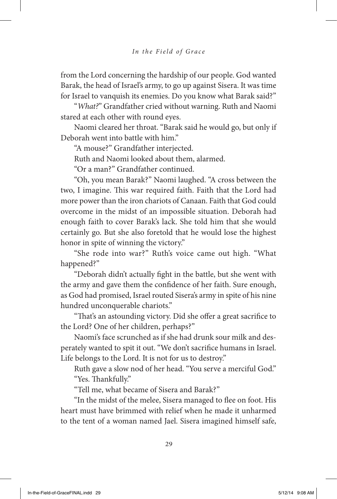from the Lord concerning the hardship of our people. God wanted Barak, the head of Israel's army, to go up against Sisera. It was time for Israel to vanquish its enemies. Do you know what Barak said?"

"*What?*" Grandfather cried without warning. Ruth and Naomi stared at each other with round eyes.

Naomi cleared her throat. "Barak said he would go, but only if Deborah went into battle with him."

"A mouse?" Grandfather interjected.

Ruth and Naomi looked about them, alarmed.

"Or a man?" Grandfather continued.

"Oh, you mean Barak?" Naomi laughed. "A cross between the two, I imagine. This war required faith. Faith that the Lord had more power than the iron chariots of Canaan. Faith that God could overcome in the midst of an impossible situation. Deborah had enough faith to cover Barak's lack. She told him that she would certainly go. But she also foretold that he would lose the highest honor in spite of winning the victory."

"She rode into war?" Ruth's voice came out high. "What happened?"

"Deborah didn't actually fight in the battle, but she went with the army and gave them the confidence of her faith. Sure enough, as God had promised, Israel routed Sisera's army in spite of his nine hundred unconquerable chariots."

"That's an astounding victory. Did she offer a great sacrifice to the Lord? One of her children, perhaps?"

Naomi's face scrunched as if she had drunk sour milk and desperately wanted to spit it out. "We don't sacrifice humans in Israel. Life belongs to the Lord. It is not for us to destroy."

Ruth gave a slow nod of her head. "You serve a merciful God." "Yes. Thankfully."

"Tell me, what became of Sisera and Barak?"

"In the midst of the melee, Sisera managed to flee on foot. His heart must have brimmed with relief when he made it unharmed to the tent of a woman named Jael. Sisera imagined himself safe,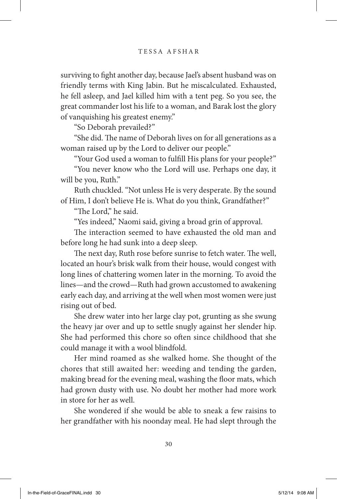surviving to fight another day, because Jael's absent husband was on friendly terms with King Jabin. But he miscalculated. Exhausted, he fell asleep, and Jael killed him with a tent peg. So you see, the great commander lost his life to a woman, and Barak lost the glory of vanquishing his greatest enemy."

"So Deborah prevailed?"

"She did. The name of Deborah lives on for all generations as a woman raised up by the Lord to deliver our people."

"Your God used a woman to fulfill His plans for your people?"

"You never know who the Lord will use. Perhaps one day, it will be you, Ruth."

Ruth chuckled. "Not unless He is very desperate. By the sound of Him, I don't believe He is. What do you think, Grandfather?"

"The Lord," he said.

"Yes indeed," Naomi said, giving a broad grin of approval.

The interaction seemed to have exhausted the old man and before long he had sunk into a deep sleep.

The next day, Ruth rose before sunrise to fetch water. The well, located an hour's brisk walk from their house, would congest with long lines of chattering women later in the morning. To avoid the lines—and the crowd—Ruth had grown accustomed to awakening early each day, and arriving at the well when most women were just rising out of bed.

She drew water into her large clay pot, grunting as she swung the heavy jar over and up to settle snugly against her slender hip. She had performed this chore so often since childhood that she could manage it with a wool blindfold.

Her mind roamed as she walked home. She thought of the chores that still awaited her: weeding and tending the garden, making bread for the evening meal, washing the floor mats, which had grown dusty with use. No doubt her mother had more work in store for her as well.

She wondered if she would be able to sneak a few raisins to her grandfather with his noonday meal. He had slept through the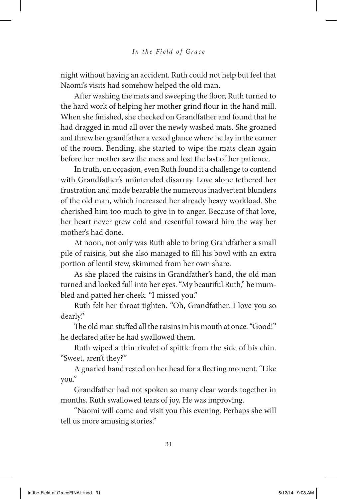night without having an accident. Ruth could not help but feel that Naomi's visits had somehow helped the old man.

After washing the mats and sweeping the floor, Ruth turned to the hard work of helping her mother grind flour in the hand mill. When she finished, she checked on Grandfather and found that he had dragged in mud all over the newly washed mats. She groaned and threw her grandfather a vexed glance where he lay in the corner of the room. Bending, she started to wipe the mats clean again before her mother saw the mess and lost the last of her patience.

In truth, on occasion, even Ruth found it a challenge to contend with Grandfather's unintended disarray. Love alone tethered her frustration and made bearable the numerous inadvertent blunders of the old man, which increased her already heavy workload. She cherished him too much to give in to anger. Because of that love, her heart never grew cold and resentful toward him the way her mother's had done.

At noon, not only was Ruth able to bring Grandfather a small pile of raisins, but she also managed to fill his bowl with an extra portion of lentil stew, skimmed from her own share.

As she placed the raisins in Grandfather's hand, the old man turned and looked full into her eyes. "My beautiful Ruth," he mumbled and patted her cheek. "I missed you."

Ruth felt her throat tighten. "Oh, Grandfather. I love you so dearly."

The old man stuffed all the raisins in his mouth at once. "Good!" he declared after he had swallowed them.

Ruth wiped a thin rivulet of spittle from the side of his chin. "Sweet, aren't they?"

A gnarled hand rested on her head for a fleeting moment. "Like you."

Grandfather had not spoken so many clear words together in months. Ruth swallowed tears of joy. He was improving.

"Naomi will come and visit you this evening. Perhaps she will tell us more amusing stories."